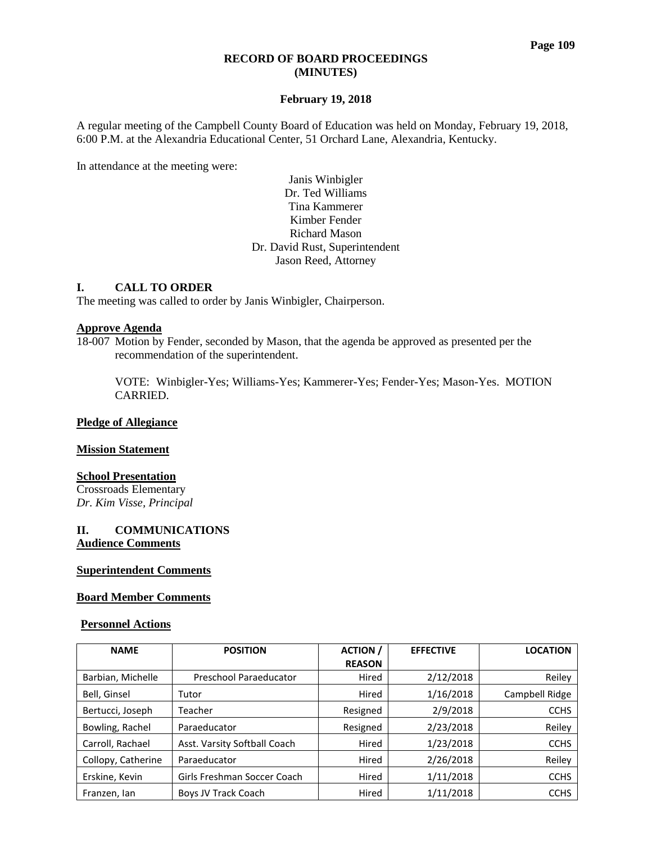#### **Page 109**

#### **RECORD OF BOARD PROCEEDINGS (MINUTES)**

### **February 19, 2018**

A regular meeting of the Campbell County Board of Education was held on Monday, February 19, 2018, 6:00 P.M. at the Alexandria Educational Center, 51 Orchard Lane, Alexandria, Kentucky.

In attendance at the meeting were:

### Janis Winbigler Dr. Ted Williams Tina Kammerer Kimber Fender Richard Mason Dr. David Rust, Superintendent Jason Reed, Attorney

### **I. CALL TO ORDER**

The meeting was called to order by Janis Winbigler, Chairperson.

#### **Approve Agenda**

18-007 Motion by Fender, seconded by Mason, that the agenda be approved as presented per the recommendation of the superintendent.

VOTE: Winbigler-Yes; Williams-Yes; Kammerer-Yes; Fender-Yes; Mason-Yes. MOTION CARRIED.

### **Pledge of Allegiance**

#### **Mission Statement**

### **School Presentation**

Crossroads Elementary *Dr. Kim Visse, Principal*

### **II. COMMUNICATIONS Audience Comments**

#### **Superintendent Comments**

#### **Board Member Comments**

#### **Personnel Actions**

| <b>NAME</b>        | <b>POSITION</b>              | <b>ACTION</b> | <b>EFFECTIVE</b> | <b>LOCATION</b> |
|--------------------|------------------------------|---------------|------------------|-----------------|
|                    |                              | <b>REASON</b> |                  |                 |
| Barbian, Michelle  | Preschool Paraeducator       | Hired         | 2/12/2018        | Reiley          |
| Bell, Ginsel       | Tutor                        | Hired         | 1/16/2018        | Campbell Ridge  |
| Bertucci, Joseph   | Teacher                      | Resigned      | 2/9/2018         | <b>CCHS</b>     |
| Bowling, Rachel    | Paraeducator                 | Resigned      | 2/23/2018        | Reiley          |
| Carroll, Rachael   | Asst. Varsity Softball Coach | Hired         | 1/23/2018        | <b>CCHS</b>     |
| Collopy, Catherine | Paraeducator                 | Hired         | 2/26/2018        | Reiley          |
| Erskine, Kevin     | Girls Freshman Soccer Coach  | Hired         | 1/11/2018        | <b>CCHS</b>     |
| Franzen, Ian       | Boys JV Track Coach          | Hired         | 1/11/2018        | <b>CCHS</b>     |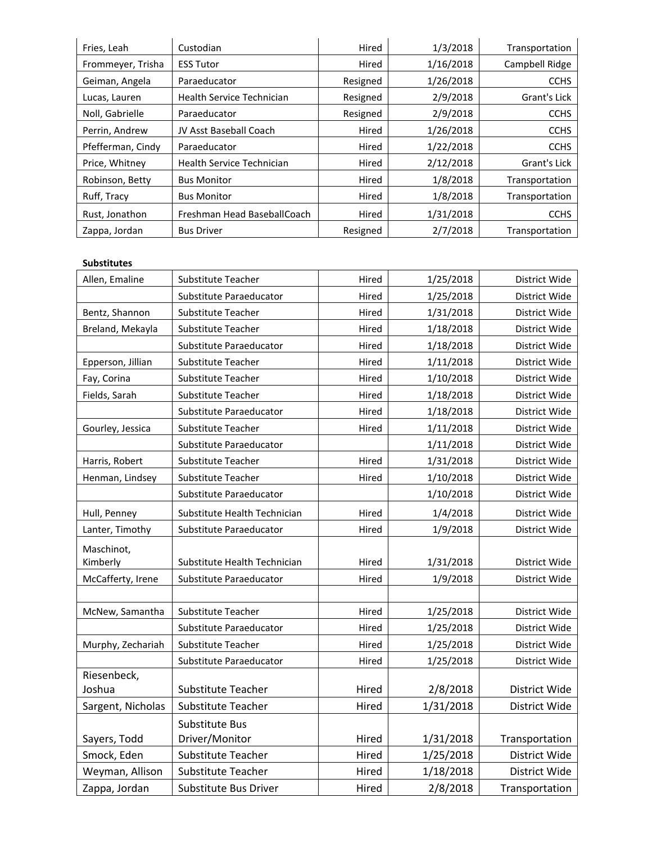| Fries, Leah       | Custodian                        | Hired    | 1/3/2018  | Transportation |
|-------------------|----------------------------------|----------|-----------|----------------|
| Frommeyer, Trisha | <b>ESS Tutor</b>                 | Hired    | 1/16/2018 | Campbell Ridge |
| Geiman, Angela    | Paraeducator                     | Resigned | 1/26/2018 | <b>CCHS</b>    |
| Lucas, Lauren     | Health Service Technician        | Resigned | 2/9/2018  | Grant's Lick   |
| Noll, Gabrielle   | Paraeducator                     | Resigned | 2/9/2018  | <b>CCHS</b>    |
| Perrin, Andrew    | JV Asst Baseball Coach           | Hired    | 1/26/2018 | <b>CCHS</b>    |
| Pfefferman, Cindy | Paraeducator                     | Hired    | 1/22/2018 | <b>CCHS</b>    |
| Price, Whitney    | <b>Health Service Technician</b> | Hired    | 2/12/2018 | Grant's Lick   |
| Robinson, Betty   | <b>Bus Monitor</b>               | Hired    | 1/8/2018  | Transportation |
| Ruff, Tracy       | <b>Bus Monitor</b>               | Hired    | 1/8/2018  | Transportation |
| Rust, Jonathon    | Freshman Head BaseballCoach      | Hired    | 1/31/2018 | <b>CCHS</b>    |
| Zappa, Jordan     | <b>Bus Driver</b>                | Resigned | 2/7/2018  | Transportation |

#### **Substitutes**

| Allen, Emaline    | Substitute Teacher           | Hired | 1/25/2018 | District Wide  |
|-------------------|------------------------------|-------|-----------|----------------|
|                   | Substitute Paraeducator      | Hired | 1/25/2018 | District Wide  |
| Bentz, Shannon    | Substitute Teacher           | Hired | 1/31/2018 | District Wide  |
| Breland, Mekayla  | Substitute Teacher           | Hired | 1/18/2018 | District Wide  |
|                   | Substitute Paraeducator      | Hired | 1/18/2018 | District Wide  |
| Epperson, Jillian | Substitute Teacher           | Hired | 1/11/2018 | District Wide  |
| Fay, Corina       | Substitute Teacher           | Hired | 1/10/2018 | District Wide  |
| Fields, Sarah     | Substitute Teacher           | Hired | 1/18/2018 | District Wide  |
|                   | Substitute Paraeducator      | Hired | 1/18/2018 | District Wide  |
| Gourley, Jessica  | Substitute Teacher           | Hired | 1/11/2018 | District Wide  |
|                   | Substitute Paraeducator      |       | 1/11/2018 | District Wide  |
| Harris, Robert    | Substitute Teacher           | Hired | 1/31/2018 | District Wide  |
| Henman, Lindsey   | Substitute Teacher           | Hired | 1/10/2018 | District Wide  |
|                   | Substitute Paraeducator      |       | 1/10/2018 | District Wide  |
| Hull, Penney      | Substitute Health Technician |       | 1/4/2018  | District Wide  |
| Lanter, Timothy   | Substitute Paraeducator      | Hired | 1/9/2018  | District Wide  |
| Maschinot,        |                              |       |           |                |
| Kimberly          | Substitute Health Technician | Hired | 1/31/2018 | District Wide  |
| McCafferty, Irene | Substitute Paraeducator      | Hired | 1/9/2018  | District Wide  |
|                   |                              |       |           |                |
| McNew, Samantha   | Substitute Teacher           | Hired | 1/25/2018 | District Wide  |
|                   | Substitute Paraeducator      | Hired | 1/25/2018 | District Wide  |
| Murphy, Zechariah | Substitute Teacher           | Hired | 1/25/2018 | District Wide  |
|                   | Substitute Paraeducator      | Hired | 1/25/2018 | District Wide  |
| Riesenbeck,       |                              |       |           |                |
| Joshua            | <b>Substitute Teacher</b>    | Hired | 2/8/2018  | District Wide  |
| Sargent, Nicholas | Substitute Teacher           | Hired | 1/31/2018 | District Wide  |
|                   | Substitute Bus               |       |           |                |
| Sayers, Todd      | Driver/Monitor               | Hired | 1/31/2018 | Transportation |
| Smock, Eden       | <b>Substitute Teacher</b>    | Hired | 1/25/2018 | District Wide  |
| Weyman, Allison   | <b>Substitute Teacher</b>    | Hired | 1/18/2018 | District Wide  |
| Zappa, Jordan     | <b>Substitute Bus Driver</b> | Hired | 2/8/2018  | Transportation |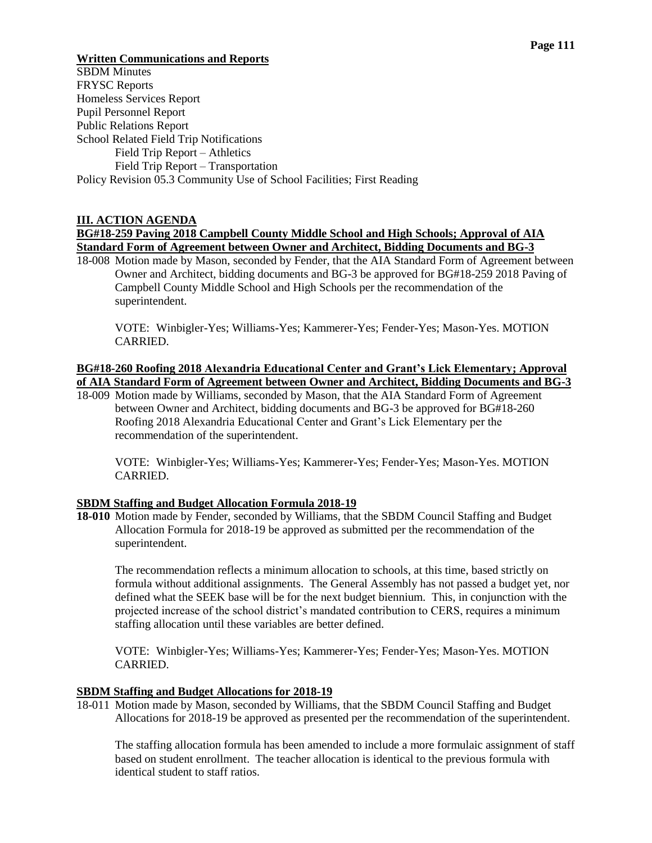# **Written Communications and Reports**

SBDM Minutes FRYSC Reports Homeless Services Report Pupil Personnel Report Public Relations Report School Related Field Trip Notifications Field Trip Report – Athletics Field Trip Report – Transportation Policy Revision 05.3 Community Use of School Facilities; First Reading

# **III. ACTION AGENDA**

# **BG#18-259 Paving 2018 Campbell County Middle School and High Schools; Approval of AIA Standard Form of Agreement between Owner and Architect, Bidding Documents and BG-3**

18-008 Motion made by Mason, seconded by Fender, that the AIA Standard Form of Agreement between Owner and Architect, bidding documents and BG-3 be approved for BG#18-259 2018 Paving of Campbell County Middle School and High Schools per the recommendation of the superintendent.

VOTE: Winbigler-Yes; Williams-Yes; Kammerer-Yes; Fender-Yes; Mason-Yes. MOTION CARRIED.

# **BG#18-260 Roofing 2018 Alexandria Educational Center and Grant's Lick Elementary; Approval of AIA Standard Form of Agreement between Owner and Architect, Bidding Documents and BG-3**

18-009 Motion made by Williams, seconded by Mason, that the AIA Standard Form of Agreement between Owner and Architect, bidding documents and BG-3 be approved for BG#18-260 Roofing 2018 Alexandria Educational Center and Grant's Lick Elementary per the recommendation of the superintendent.

VOTE: Winbigler-Yes; Williams-Yes; Kammerer-Yes; Fender-Yes; Mason-Yes. MOTION CARRIED.

### **SBDM Staffing and Budget Allocation Formula 2018-19**

**18-010** Motion made by Fender, seconded by Williams, that the SBDM Council Staffing and Budget Allocation Formula for 2018-19 be approved as submitted per the recommendation of the superintendent.

The recommendation reflects a minimum allocation to schools, at this time, based strictly on formula without additional assignments. The General Assembly has not passed a budget yet, nor defined what the SEEK base will be for the next budget biennium. This, in conjunction with the projected increase of the school district's mandated contribution to CERS, requires a minimum staffing allocation until these variables are better defined.

VOTE: Winbigler-Yes; Williams-Yes; Kammerer-Yes; Fender-Yes; Mason-Yes. MOTION **CARRIED.** 

### **SBDM Staffing and Budget Allocations for 2018-19**

18-011 Motion made by Mason, seconded by Williams, that the SBDM Council Staffing and Budget Allocations for 2018-19 be approved as presented per the recommendation of the superintendent.

The staffing allocation formula has been amended to include a more formulaic assignment of staff based on student enrollment. The teacher allocation is identical to the previous formula with identical student to staff ratios.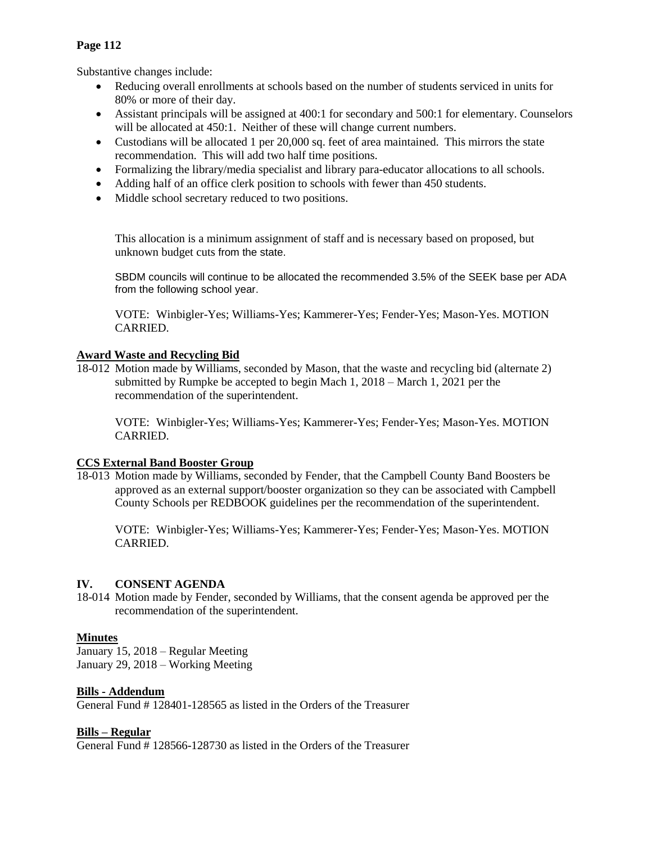# **Page 112**

Substantive changes include:

- Reducing overall enrollments at schools based on the number of students serviced in units for 80% or more of their day.
- Assistant principals will be assigned at 400:1 for secondary and 500:1 for elementary. Counselors will be allocated at 450:1. Neither of these will change current numbers.
- Custodians will be allocated 1 per 20,000 sq. feet of area maintained. This mirrors the state recommendation. This will add two half time positions.
- Formalizing the library/media specialist and library para-educator allocations to all schools.
- Adding half of an office clerk position to schools with fewer than 450 students.
- Middle school secretary reduced to two positions.

This allocation is a minimum assignment of staff and is necessary based on proposed, but unknown budget cuts from the state.

SBDM councils will continue to be allocated the recommended 3.5% of the SEEK base per ADA from the following school year.

VOTE: Winbigler-Yes; Williams-Yes; Kammerer-Yes; Fender-Yes; Mason-Yes. MOTION CARRIED.

# **Award Waste and Recycling Bid**

18-012 Motion made by Williams, seconded by Mason, that the waste and recycling bid (alternate 2) submitted by Rumpke be accepted to begin Mach 1, 2018 – March 1, 2021 per the recommendation of the superintendent.

VOTE: Winbigler-Yes; Williams-Yes; Kammerer-Yes; Fender-Yes; Mason-Yes. MOTION CARRIED.

#### **CCS External Band Booster Group**

18-013 Motion made by Williams, seconded by Fender, that the Campbell County Band Boosters be approved as an external support/booster organization so they can be associated with Campbell County Schools per REDBOOK guidelines per the recommendation of the superintendent.

VOTE: Winbigler-Yes; Williams-Yes; Kammerer-Yes; Fender-Yes; Mason-Yes. MOTION CARRIED.

#### **IV. CONSENT AGENDA**

18-014 Motion made by Fender, seconded by Williams, that the consent agenda be approved per the recommendation of the superintendent.

### **Minutes**

January 15, 2018 – Regular Meeting January 29, 2018 – Working Meeting

#### **Bills - Addendum**

General Fund # 128401-128565 as listed in the Orders of the Treasurer

### **Bills – Regular**

General Fund # 128566-128730 as listed in the Orders of the Treasurer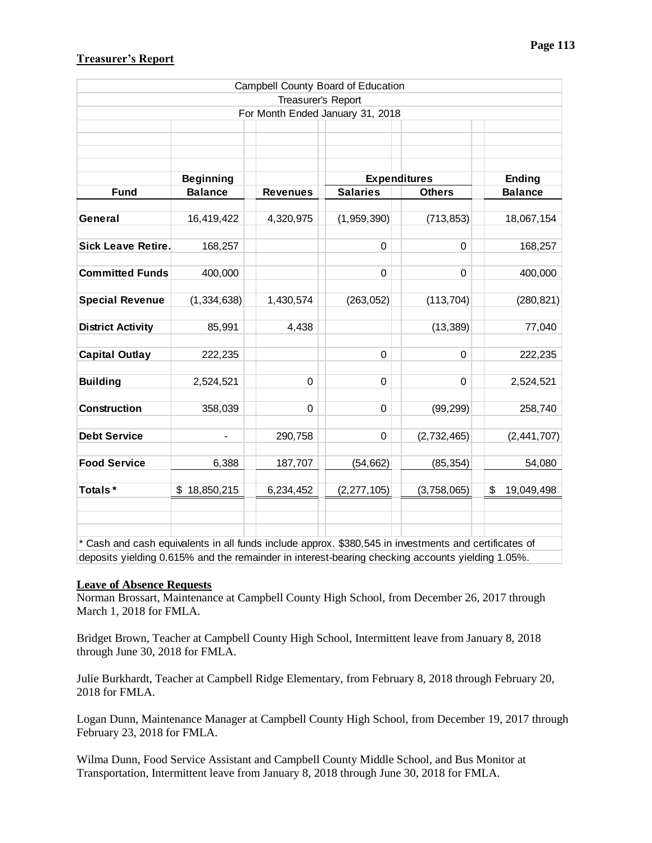# **Treasurer's Report**

|                                                                                                       |                                         |                    | Campbell County Board of Education |               |                  |
|-------------------------------------------------------------------------------------------------------|-----------------------------------------|--------------------|------------------------------------|---------------|------------------|
|                                                                                                       |                                         | Treasurer's Report |                                    |               |                  |
|                                                                                                       |                                         |                    | For Month Ended January 31, 2018   |               |                  |
|                                                                                                       |                                         |                    |                                    |               |                  |
|                                                                                                       |                                         |                    |                                    |               |                  |
|                                                                                                       |                                         |                    |                                    |               |                  |
|                                                                                                       | <b>Expenditures</b><br><b>Beginning</b> |                    |                                    | <b>Ending</b> |                  |
| <b>Fund</b>                                                                                           | <b>Balance</b>                          | <b>Revenues</b>    | <b>Salaries</b>                    | <b>Others</b> | <b>Balance</b>   |
|                                                                                                       |                                         |                    |                                    |               |                  |
| General                                                                                               | 16,419,422                              | 4,320,975          | (1,959,390)                        | (713, 853)    | 18,067,154       |
|                                                                                                       |                                         |                    |                                    |               |                  |
| <b>Sick Leave Retire.</b>                                                                             | 168,257                                 |                    | 0                                  | 0             | 168,257          |
| <b>Committed Funds</b>                                                                                | 400,000                                 |                    | 0                                  | 0             | 400,000          |
|                                                                                                       |                                         |                    |                                    |               |                  |
| <b>Special Revenue</b>                                                                                | (1, 334, 638)                           | 1,430,574          | (263, 052)                         | (113, 704)    | (280, 821)       |
|                                                                                                       |                                         |                    |                                    |               |                  |
| <b>District Activity</b>                                                                              | 85,991                                  | 4,438              |                                    | (13, 389)     | 77,040           |
|                                                                                                       |                                         |                    |                                    |               |                  |
| <b>Capital Outlay</b>                                                                                 | 222,235                                 |                    | 0                                  | 0             | 222,235          |
|                                                                                                       |                                         |                    |                                    |               |                  |
| <b>Building</b>                                                                                       | 2,524,521                               | 0                  | 0                                  | 0             | 2,524,521        |
| <b>Construction</b>                                                                                   | 358,039                                 | 0                  | 0                                  | (99, 299)     | 258,740          |
|                                                                                                       |                                         |                    |                                    |               |                  |
| <b>Debt Service</b>                                                                                   |                                         | 290,758            | 0                                  | (2,732,465)   | (2,441,707)      |
|                                                                                                       |                                         |                    |                                    |               |                  |
| <b>Food Service</b>                                                                                   | 6,388                                   | 187,707            | (54, 662)                          | (85, 354)     | 54,080           |
|                                                                                                       |                                         |                    |                                    |               |                  |
| Totals*                                                                                               | \$18,850,215                            | 6,234,452          | (2, 277, 105)                      | (3,758,065)   | 19,049,498<br>\$ |
|                                                                                                       |                                         |                    |                                    |               |                  |
|                                                                                                       |                                         |                    |                                    |               |                  |
| * Cash and cash equivalents in all funds include approx. \$380,545 in investments and certificates of |                                         |                    |                                    |               |                  |
| deposits yielding 0.615% and the remainder in interest-bearing checking accounts yielding 1.05%.      |                                         |                    |                                    |               |                  |

### **Leave of Absence Requests**

Norman Brossart, Maintenance at Campbell County High School, from December 26, 2017 through March 1, 2018 for FMLA.

Bridget Brown, Teacher at Campbell County High School, Intermittent leave from January 8, 2018 through June 30, 2018 for FMLA.

Julie Burkhardt, Teacher at Campbell Ridge Elementary, from February 8, 2018 through February 20, 2018 for FMLA.

Logan Dunn, Maintenance Manager at Campbell County High School, from December 19, 2017 through February 23, 2018 for FMLA.

Wilma Dunn, Food Service Assistant and Campbell County Middle School, and Bus Monitor at Transportation, Intermittent leave from January 8, 2018 through June 30, 2018 for FMLA.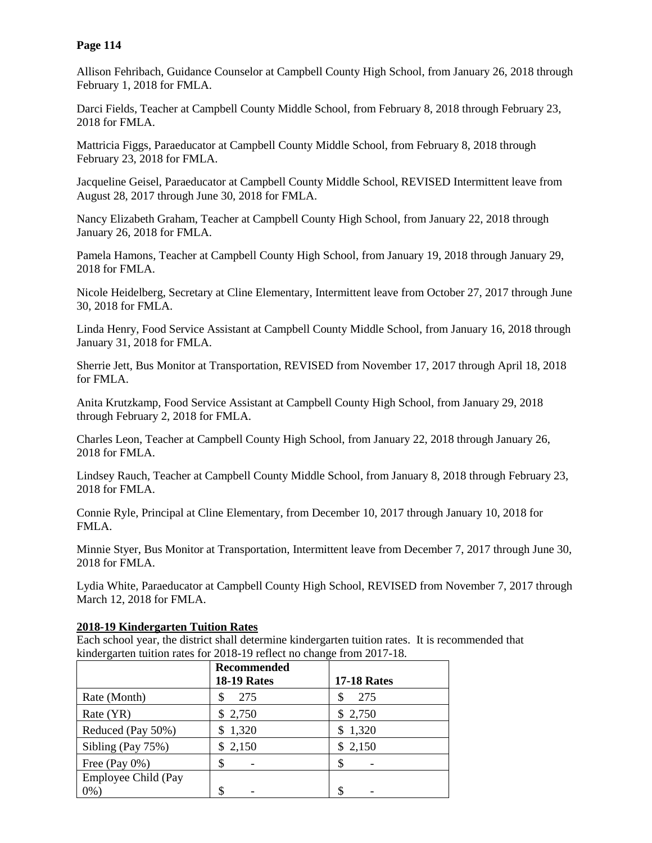# **Page 114**

Allison Fehribach, Guidance Counselor at Campbell County High School, from January 26, 2018 through February 1, 2018 for FMLA.

Darci Fields, Teacher at Campbell County Middle School, from February 8, 2018 through February 23, 2018 for FMLA.

Mattricia Figgs, Paraeducator at Campbell County Middle School, from February 8, 2018 through February 23, 2018 for FMLA.

Jacqueline Geisel, Paraeducator at Campbell County Middle School, REVISED Intermittent leave from August 28, 2017 through June 30, 2018 for FMLA.

Nancy Elizabeth Graham, Teacher at Campbell County High School, from January 22, 2018 through January 26, 2018 for FMLA.

Pamela Hamons, Teacher at Campbell County High School, from January 19, 2018 through January 29, 2018 for FMLA.

Nicole Heidelberg, Secretary at Cline Elementary, Intermittent leave from October 27, 2017 through June 30, 2018 for FMLA.

Linda Henry, Food Service Assistant at Campbell County Middle School, from January 16, 2018 through January 31, 2018 for FMLA.

Sherrie Jett, Bus Monitor at Transportation, REVISED from November 17, 2017 through April 18, 2018 for FMLA.

Anita Krutzkamp, Food Service Assistant at Campbell County High School, from January 29, 2018 through February 2, 2018 for FMLA.

Charles Leon, Teacher at Campbell County High School, from January 22, 2018 through January 26, 2018 for FMLA.

Lindsey Rauch, Teacher at Campbell County Middle School, from January 8, 2018 through February 23, 2018 for FMLA.

Connie Ryle, Principal at Cline Elementary, from December 10, 2017 through January 10, 2018 for FMLA.

Minnie Styer, Bus Monitor at Transportation, Intermittent leave from December 7, 2017 through June 30, 2018 for FMLA.

Lydia White, Paraeducator at Campbell County High School, REVISED from November 7, 2017 through March 12, 2018 for FMLA.

#### **2018-19 Kindergarten Tuition Rates**

Each school year, the district shall determine kindergarten tuition rates. It is recommended that kindergarten tuition rates for 2018-19 reflect no change from 2017-18.

|                     | <b>Recommended</b> |                    |
|---------------------|--------------------|--------------------|
|                     | <b>18-19 Rates</b> | <b>17-18 Rates</b> |
| Rate (Month)        | 275                | 275                |
| Rate (YR)           | 2,750<br>S         | \$2,750            |
| Reduced (Pay 50%)   | 1,320<br>S.        | \$1,320            |
| Sibling (Pay 75%)   | 2,150<br>\$        | \$2,150            |
| Free (Pay $0\%$ )   |                    | \$                 |
| Employee Child (Pay |                    |                    |
| $0\%$ )             |                    |                    |